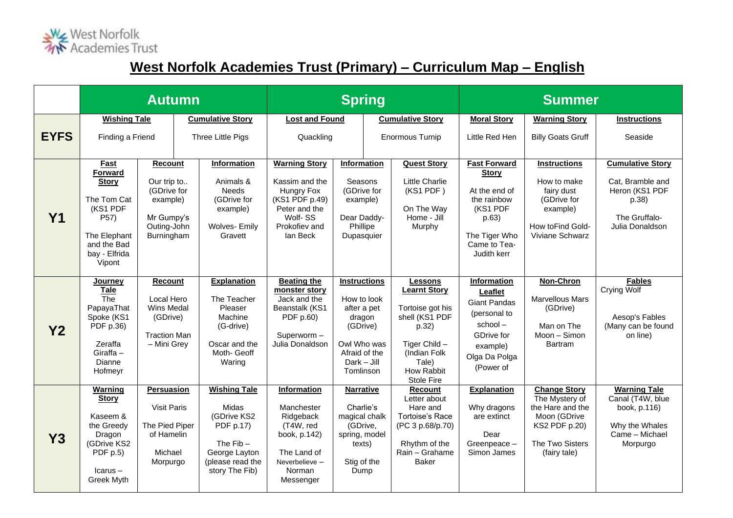

## **West Norfolk Academies Trust (Primary) – Curriculum Map – English**

|                |                                                                                                                                                                                                                                     | <b>Autumn</b>                                                                           | <b>Spring</b>                                                                                                                  |                                                                                                                                                                                                                                                              |                                                                                                              |                        | <b>Summer</b>                                                                                                                                       |                                                                                                                                            |                                                                                                                                      |                                                                                                            |
|----------------|-------------------------------------------------------------------------------------------------------------------------------------------------------------------------------------------------------------------------------------|-----------------------------------------------------------------------------------------|--------------------------------------------------------------------------------------------------------------------------------|--------------------------------------------------------------------------------------------------------------------------------------------------------------------------------------------------------------------------------------------------------------|--------------------------------------------------------------------------------------------------------------|------------------------|-----------------------------------------------------------------------------------------------------------------------------------------------------|--------------------------------------------------------------------------------------------------------------------------------------------|--------------------------------------------------------------------------------------------------------------------------------------|------------------------------------------------------------------------------------------------------------|
|                | <b>Wishing Tale</b>                                                                                                                                                                                                                 |                                                                                         | <b>Cumulative Story</b>                                                                                                        | <b>Lost and Found</b>                                                                                                                                                                                                                                        |                                                                                                              |                        | <b>Cumulative Story</b>                                                                                                                             | <b>Moral Story</b>                                                                                                                         | <b>Warning Story</b>                                                                                                                 | <b>Instructions</b>                                                                                        |
| <b>EYFS</b>    | Finding a Friend                                                                                                                                                                                                                    |                                                                                         | Three Little Pigs                                                                                                              | Quackling                                                                                                                                                                                                                                                    |                                                                                                              | <b>Enormous Turnip</b> |                                                                                                                                                     | Little Red Hen                                                                                                                             | <b>Billy Goats Gruff</b>                                                                                                             | Seaside                                                                                                    |
| <b>Y1</b>      | Fast<br>Recount<br><b>Forward</b><br>Our trip to<br><b>Story</b><br>(GDrive for<br>The Tom Cat<br>example)<br>(KS1 PDF<br>P57)<br>Mr Gumpy's<br>Outing-John<br>The Elephant<br>Burningham<br>and the Bad<br>bay - Elfrida<br>Vipont |                                                                                         | Information<br>Animals &<br><b>Needs</b><br>(GDrive for<br>example)<br><b>Wolves- Emily</b><br>Gravett                         | <b>Warning Story</b><br>Kassim and the<br>Hungry Fox<br>(KS1 PDF p.49)<br>Peter and the<br>Wolf-SS<br>Prokofiev and<br>lan Beck                                                                                                                              | Information<br>Seasons<br>(GDrive for<br>example)<br>Dear Daddy-<br>Phillipe<br>Dupasquier                   |                        | <b>Quest Story</b><br><b>Little Charlie</b><br>(KS1 PDF)<br>On The Way<br>Home - Jill<br>Murphy                                                     | <b>Fast Forward</b><br><b>Story</b><br>At the end of<br>the rainbow<br>(KS1 PDF<br>p.63)<br>The Tiger Who<br>Came to Tea-<br>Judith kerr   | <b>Instructions</b><br>How to make<br>fairy dust<br>(GDrive for<br>example)<br>How toFind Gold-<br>Viviane Schwarz                   | <b>Cumulative Story</b><br>Cat, Bramble and<br>Heron (KS1 PDF<br>p.38)<br>The Gruffalo-<br>Julia Donaldson |
| Y <sub>2</sub> | <b>Journey</b><br>Tale<br>The<br>PapayaThat<br>Spoke (KS1<br>PDF p.36)<br>Zeraffa<br>Giraffa $-$<br>Dianne<br>Hofmeyr                                                                                                               | Recount<br>Local Hero<br>Wins Medal<br>(GDrive)<br><b>Traction Man</b><br>- Mini Grey   | <b>Explanation</b><br>The Teacher<br>Pleaser<br>Machine<br>(G-drive)<br>Oscar and the<br>Moth- Geoff<br>Waring                 | <b>Beating the</b><br><b>Instructions</b><br>monster story<br>Jack and the<br>How to look<br>Beanstalk (KS1<br>after a pet<br>PDF p.60)<br>dragon<br>(GDrive)<br>Superworm-<br>Owl Who was<br>Julia Donaldson<br>Afraid of the<br>$Dark - Jill$<br>Tomlinson |                                                                                                              |                        | Lessons<br><b>Learnt Story</b><br>Tortoise got his<br>shell (KS1 PDF<br>p.32)<br>Tiger Child -<br>(Indian Folk<br>Tale)<br>How Rabbit<br>Stole Fire | Information<br>Leaflet<br><b>Giant Pandas</b><br>(personal to<br>$school -$<br><b>GDrive for</b><br>example)<br>Olga Da Polga<br>(Power of | Non-Chron<br><b>Marvellous Mars</b><br>(GDrive)<br>Man on The<br>Moon - Simon<br><b>Bartram</b>                                      | <b>Fables</b><br>Crying Wolf<br>Aesop's Fables<br>(Many can be found<br>on line)                           |
| Y3             | <b>Warning</b><br><b>Story</b><br>Kaseem &<br>the Greedy<br>Dragon<br>(GDrive KS2<br>PDF $p.5$ )<br>$lcarus -$<br>Greek Myth                                                                                                        | Persuasion<br><b>Visit Paris</b><br>The Pied Piper<br>of Hamelin<br>Michael<br>Morpurgo | <b>Wishing Tale</b><br>Midas<br>(GDrive KS2<br>PDF p.17)<br>The $Fib -$<br>George Layton<br>(please read the<br>story The Fib) | Information<br>Manchester<br>Ridgeback<br>(T4W, red<br>book, p.142)<br>The Land of<br>Neverbelieve-<br>Norman<br>Messenger                                                                                                                                   | <b>Narrative</b><br>Charlie's<br>magical chalk<br>(GDrive,<br>spring, model<br>texts)<br>Stig of the<br>Dump |                        | Recount<br>Letter about<br>Hare and<br><b>Tortoise's Race</b><br>(PC 3 p.68/p.70)<br>Rhythm of the<br>Rain - Grahame<br><b>Baker</b>                | <b>Explanation</b><br>Why dragons<br>are extinct<br>Dear<br>Greenpeace-<br>Simon James                                                     | <b>Change Story</b><br>The Mystery of<br>the Hare and the<br>Moon (GDrive<br><b>KS2 PDF p.20)</b><br>The Two Sisters<br>(fairy tale) | <b>Warning Tale</b><br>Canal (T4W, blue<br>book, p.116)<br>Why the Whales<br>Came - Michael<br>Morpurgo    |